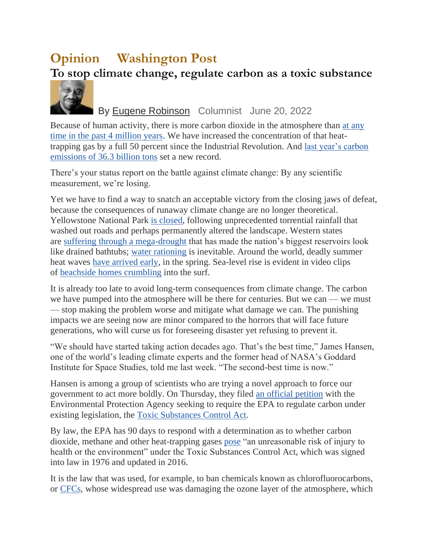## **Opinion Washington Post To stop climate change, regulate carbon as a toxic substance**



## By Eugene Robinson Columnist June 20, 2022

Because of human activity, there is more carbon dioxide in the atmosphere than at any time in the past 4 million years. We have increased the concentration of that heattrapping gas by a full 50 percent since the Industrial Revolution. And last year's carbon emissions of 36.3 billion tons set a new record.

There's your status report on the battle against climate change: By any scientific measurement, we're losing.

Yet we have to find a way to snatch an acceptable victory from the closing jaws of defeat, because the consequences of runaway climate change are no longer theoretical. Yellowstone National Park is closed, following unprecedented torrential rainfall that washed out roads and perhaps permanently altered the landscape. Western states are suffering through a mega-drought that has made the nation's biggest reservoirs look like drained bathtubs; water rationing is inevitable. Around the world, deadly summer heat waves have arrived early, in the spring. Sea-level rise is evident in video clips of beachside homes crumbling into the surf.

It is already too late to avoid long-term consequences from climate change. The carbon we have pumped into the atmosphere will be there for centuries. But we can — we must — stop making the problem worse and mitigate what damage we can. The punishing impacts we are seeing now are minor compared to the horrors that will face future generations, who will curse us for foreseeing disaster yet refusing to prevent it.

"We should have started taking action decades ago. That's the best time," James Hansen, one of the world's leading climate experts and the former head of NASA's Goddard Institute for Space Studies, told me last week. "The second-best time is now."

Hansen is among a group of scientists who are trying a novel approach to force our government to act more boldly. On Thursday, they filed an official petition with the Environmental Protection Agency seeking to require the EPA to regulate carbon under existing legislation, the Toxic Substances Control Act.

By law, the EPA has 90 days to respond with a determination as to whether carbon dioxide, methane and other heat-trapping gases pose "an unreasonable risk of injury to health or the environment" under the Toxic Substances Control Act, which was signed into law in 1976 and updated in 2016.

It is the law that was used, for example, to ban chemicals known as chlorofluorocarbons, or CFCs, whose widespread use was damaging the ozone layer of the atmosphere, which